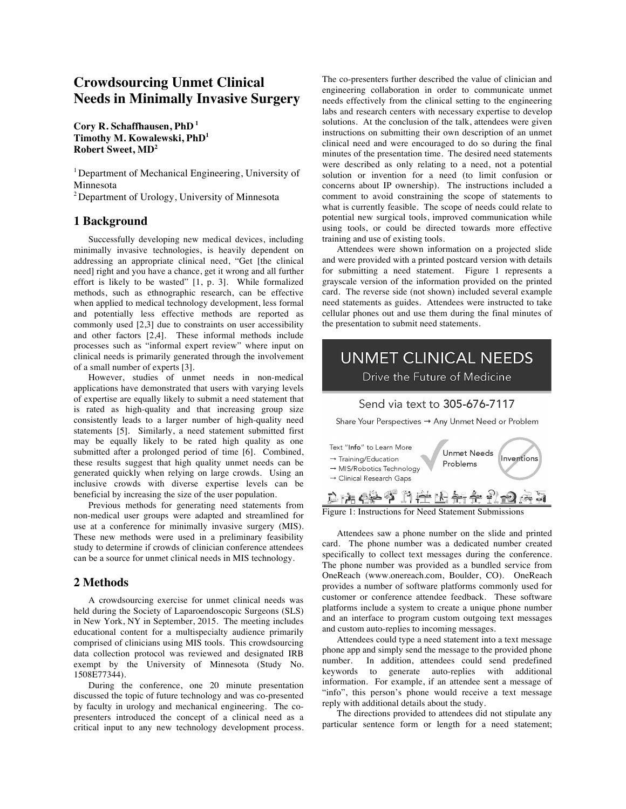## **Crowdsourcing Unmet Clinical Needs in Minimally Invasive Surgery**

**Cory R. Schaffhausen, PhD <sup>1</sup> Timothy M. Kowalewski, PhD<sup>1</sup> Robert Sweet, MD<sup>2</sup>**

<sup>1</sup> Department of Mechanical Engineering, University of Minnesota

2 Department of Urology, University of Minnesota

### **1 Background**

Successfully developing new medical devices, including minimally invasive technologies, is heavily dependent on addressing an appropriate clinical need, "Get [the clinical need] right and you have a chance, get it wrong and all further effort is likely to be wasted" [1, p. 3]. While formalized methods, such as ethnographic research, can be effective when applied to medical technology development, less formal and potentially less effective methods are reported as commonly used [2,3] due to constraints on user accessibility and other factors [2,4]. These informal methods include processes such as "informal expert review" where input on clinical needs is primarily generated through the involvement of a small number of experts [3].

However, studies of unmet needs in non-medical applications have demonstrated that users with varying levels of expertise are equally likely to submit a need statement that is rated as high-quality and that increasing group size consistently leads to a larger number of high-quality need statements [5]. Similarly, a need statement submitted first may be equally likely to be rated high quality as one submitted after a prolonged period of time [6]. Combined, these results suggest that high quality unmet needs can be generated quickly when relying on large crowds. Using an inclusive crowds with diverse expertise levels can be beneficial by increasing the size of the user population.

Previous methods for generating need statements from non-medical user groups were adapted and streamlined for use at a conference for minimally invasive surgery (MIS). These new methods were used in a preliminary feasibility study to determine if crowds of clinician conference attendees can be a source for unmet clinical needs in MIS technology.

#### **2 Methods**

A crowdsourcing exercise for unmet clinical needs was held during the Society of Laparoendoscopic Surgeons (SLS) in New York, NY in September, 2015. The meeting includes educational content for a multispecialty audience primarily comprised of clinicians using MIS tools. This crowdsourcing data collection protocol was reviewed and designated IRB exempt by the University of Minnesota (Study No. 1508E77344).

During the conference, one 20 minute presentation discussed the topic of future technology and was co-presented by faculty in urology and mechanical engineering. The copresenters introduced the concept of a clinical need as a critical input to any new technology development process.

The co-presenters further described the value of clinician and engineering collaboration in order to communicate unmet needs effectively from the clinical setting to the engineering labs and research centers with necessary expertise to develop solutions. At the conclusion of the talk, attendees were given instructions on submitting their own description of an unmet clinical need and were encouraged to do so during the final minutes of the presentation time. The desired need statements were described as only relating to a need, not a potential solution or invention for a need (to limit confusion or concerns about IP ownership). The instructions included a comment to avoid constraining the scope of statements to what is currently feasible. The scope of needs could relate to potential new surgical tools, improved communication while using tools, or could be directed towards more effective training and use of existing tools.

Attendees were shown information on a projected slide and were provided with a printed postcard version with details for submitting a need statement. Figure 1 represents a grayscale version of the information provided on the printed card. The reverse side (not shown) included several example need statements as guides. Attendees were instructed to take cellular phones out and use them during the final minutes of the presentation to submit need statements.

# **UNMET CLINICAL NEEDS** Drive the Future of Medicine

#### Send via text to 305-676-7117

Share Your Perspectives → Any Unmet Need or Problem



Figure 1: Instructions for Need Statement Submissions

Attendees saw a phone number on the slide and printed card. The phone number was a dedicated number created specifically to collect text messages during the conference. The phone number was provided as a bundled service from OneReach (www.onereach.com, Boulder, CO). OneReach provides a number of software platforms commonly used for customer or conference attendee feedback. These software platforms include a system to create a unique phone number and an interface to program custom outgoing text messages and custom auto-replies to incoming messages.

Attendees could type a need statement into a text message phone app and simply send the message to the provided phone number. In addition, attendees could send predefined keywords to generate auto-replies with additional information. For example, if an attendee sent a message of "info", this person's phone would receive a text message reply with additional details about the study.

The directions provided to attendees did not stipulate any particular sentence form or length for a need statement;